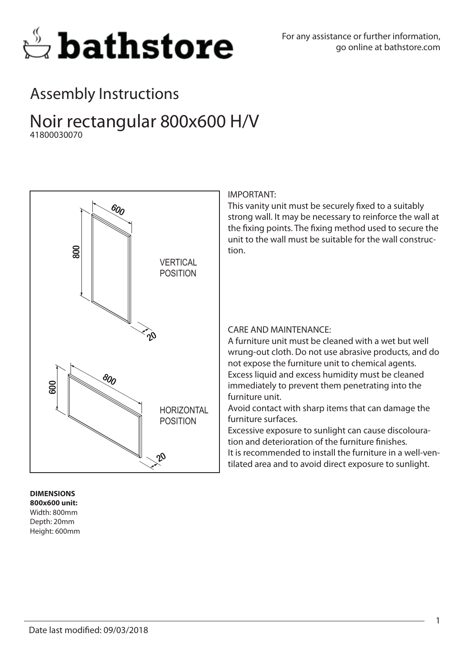

## Assembly Instructions

### Noir rectangular 800x600 H/V 41800030070



#### **DIMENSIONS 800x600 unit:** Width: 800mm Depth: 20mm Height: 600mm

#### IMPORTANT:

This vanity unit must be securely fixed to a suitably strong wall. It may be necessary to reinforce the wall at the fixing points. The fixing method used to secure the unit to the wall must be suitable for the wall construction.

#### CARE AND MAINTENANCE:

A furniture unit must be cleaned with a wet but well wrung-out cloth. Do not use abrasive products, and do not expose the furniture unit to chemical agents. Excess liquid and excess humidity must be cleaned immediately to prevent them penetrating into the furniture unit.

Avoid contact with sharp items that can damage the furniture surfaces.

Excessive exposure to sunlight can cause discolouration and deterioration of the furniture finishes. It is recommended to install the furniture in a well-ventilated area and to avoid direct exposure to sunlight.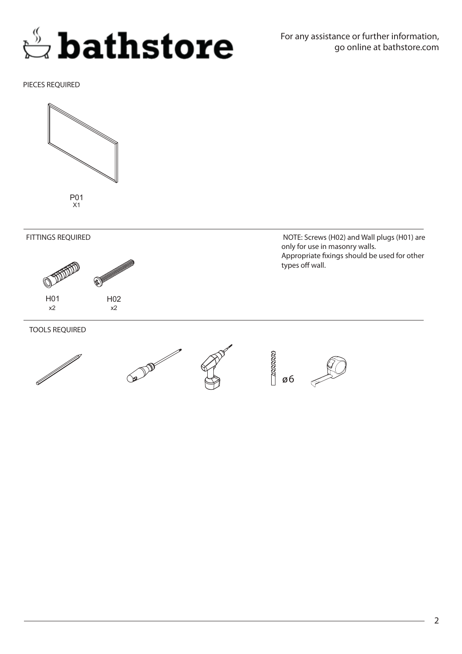## **Bathstore**

PIECES REQUIRED







TOOLS REQUIRED





 NOTE: Screws (H02) and Wall plugs (H01) are only for use in masonry walls. Appropriate fixings should be used for other types off wall.

6

**RANANA** 

2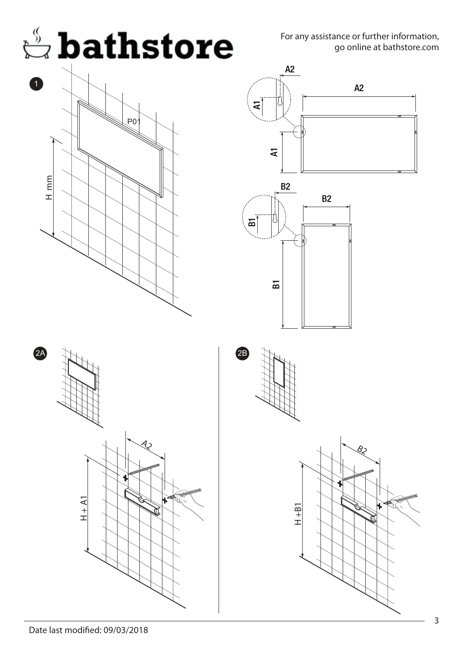For any assistance or further information, go online at bathstore.com





H + A1

 $\overline{\mathcal{A}}$ 2